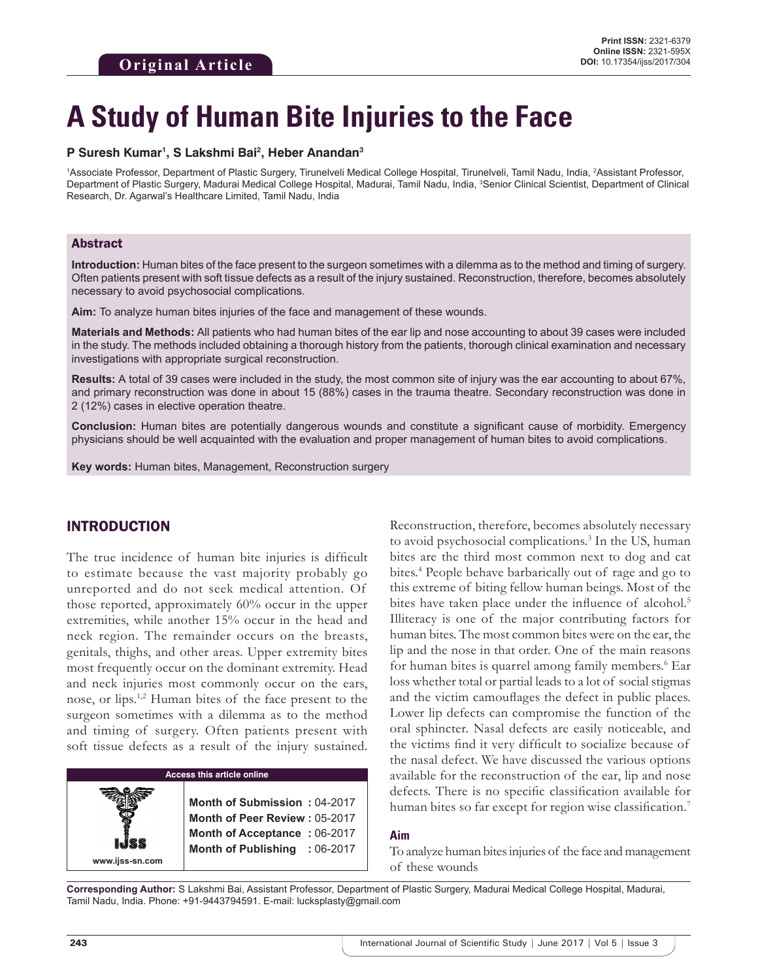# **A Study of Human Bite Injuries to the Face**

## **P Suresh Kumar1 , S Lakshmi Bai2 , Heber Anandan3**

1Associate Professor, Department of Plastic Surgery, Tirunelveli Medical College Hospital, Tirunelveli, Tamil Nadu, India, 2Assistant Professor, Department of Plastic Surgery, Madurai Medical College Hospital, Madurai, Tamil Nadu, India, <sup>3</sup>Senior Clinical Scientist, Department of Clinical Research, Dr. Agarwal's Healthcare Limited, Tamil Nadu, India

## Abstract

**Introduction:** Human bites of the face present to the surgeon sometimes with a dilemma as to the method and timing of surgery. Often patients present with soft tissue defects as a result of the injury sustained. Reconstruction, therefore, becomes absolutely necessary to avoid psychosocial complications.

**Aim:** To analyze human bites injuries of the face and management of these wounds.

**Materials and Methods:** All patients who had human bites of the ear lip and nose accounting to about 39 cases were included in the study. The methods included obtaining a thorough history from the patients, thorough clinical examination and necessary investigations with appropriate surgical reconstruction.

**Results:** A total of 39 cases were included in the study, the most common site of injury was the ear accounting to about 67%, and primary reconstruction was done in about 15 (88%) cases in the trauma theatre. Secondary reconstruction was done in 2 (12%) cases in elective operation theatre.

**Conclusion:** Human bites are potentially dangerous wounds and constitute a significant cause of morbidity. Emergency physicians should be well acquainted with the evaluation and proper management of human bites to avoid complications.

**Key words:** Human bites, Management, Reconstruction surgery

# INTRODUCTION

The true incidence of human bite injuries is difficult to estimate because the vast majority probably go unreported and do not seek medical attention. Of those reported, approximately 60% occur in the upper extremities, while another 15% occur in the head and neck region. The remainder occurs on the breasts, genitals, thighs, and other areas. Upper extremity bites most frequently occur on the dominant extremity. Head and neck injuries most commonly occur on the ears, nose, or lips.1,2 Human bites of the face present to the surgeon sometimes with a dilemma as to the method and timing of surgery. Often patients present with soft tissue defects as a result of the injury sustained.

# **Access this article online**

**Month of Submission :** 04-2017 **Month of Peer Review :** 05-2017 **Month of Acceptance :** 06-2017 **Month of Publishing :** 06-2017 Reconstruction, therefore, becomes absolutely necessary to avoid psychosocial complications.<sup>3</sup> In the US, human bites are the third most common next to dog and cat bites.4 People behave barbarically out of rage and go to this extreme of biting fellow human beings. Most of the bites have taken place under the influence of alcohol.<sup>5</sup> Illiteracy is one of the major contributing factors for human bites. The most common bites were on the ear, the lip and the nose in that order. One of the main reasons for human bites is quarrel among family members.<sup>6</sup> Ear loss whether total or partial leads to a lot of social stigmas and the victim camouflages the defect in public places. Lower lip defects can compromise the function of the oral sphincter. Nasal defects are easily noticeable, and the victims find it very difficult to socialize because of the nasal defect. We have discussed the various options available for the reconstruction of the ear, lip and nose defects. There is no specific classification available for human bites so far except for region wise classification.<sup>7</sup>

## **Aim**

To analyze human bites injuries of the face and management of these wounds

**Corresponding Author:** S Lakshmi Bai, Assistant Professor, Department of Plastic Surgery, Madurai Medical College Hospital, Madurai, Tamil Nadu, India. Phone: +91-9443794591. E-mail: lucksplasty@gmail.com

**www.ijss-sn.com**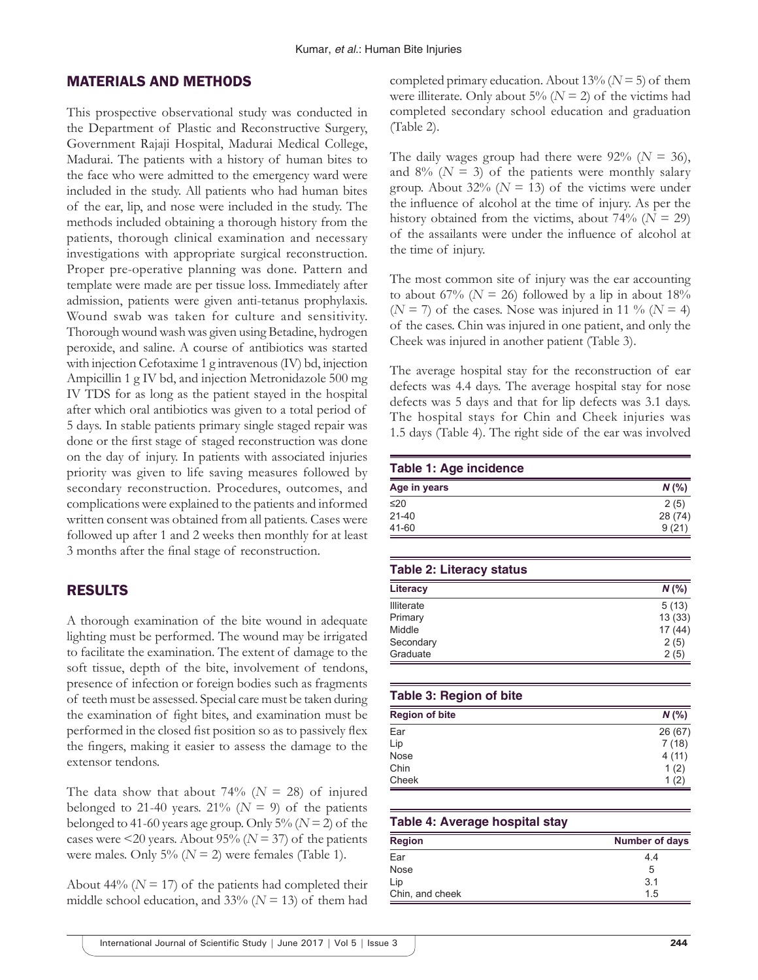# MATERIALS AND METHODS

This prospective observational study was conducted in the Department of Plastic and Reconstructive Surgery, Government Rajaji Hospital, Madurai Medical College, Madurai. The patients with a history of human bites to the face who were admitted to the emergency ward were included in the study. All patients who had human bites of the ear, lip, and nose were included in the study. The methods included obtaining a thorough history from the patients, thorough clinical examination and necessary investigations with appropriate surgical reconstruction. Proper pre-operative planning was done. Pattern and template were made are per tissue loss. Immediately after admission, patients were given anti-tetanus prophylaxis. Wound swab was taken for culture and sensitivity. Thorough wound wash was given using Betadine, hydrogen peroxide, and saline. A course of antibiotics was started with injection Cefotaxime 1 g intravenous (IV) bd, injection Ampicillin 1 g IV bd, and injection Metronidazole 500 mg IV TDS for as long as the patient stayed in the hospital after which oral antibiotics was given to a total period of 5 days. In stable patients primary single staged repair was done or the first stage of staged reconstruction was done on the day of injury. In patients with associated injuries priority was given to life saving measures followed by secondary reconstruction. Procedures, outcomes, and complications were explained to the patients and informed written consent was obtained from all patients. Cases were followed up after 1 and 2 weeks then monthly for at least 3 months after the final stage of reconstruction.

# RESULTS

A thorough examination of the bite wound in adequate lighting must be performed. The wound may be irrigated to facilitate the examination. The extent of damage to the soft tissue, depth of the bite, involvement of tendons, presence of infection or foreign bodies such as fragments of teeth must be assessed. Special care must be taken during the examination of fight bites, and examination must be performed in the closed fist position so as to passively flex the fingers, making it easier to assess the damage to the extensor tendons.

The data show that about 74% ( $N = 28$ ) of injured belonged to 21-40 years.  $21\%$  ( $N = 9$ ) of the patients belonged to 41-60 years age group. Only 5% (*N* = 2) of the cases were  $\leq$ 20 years. About 95% (*N* = 37) of the patients were males. Only  $5\%$  ( $N = 2$ ) were females (Table 1).

About 44% ( $N = 17$ ) of the patients had completed their middle school education, and  $33\%$  ( $N = 13$ ) of them had

completed primary education. About 13% (*N* = 5) of them were illiterate. Only about 5% ( $N = 2$ ) of the victims had completed secondary school education and graduation (Table 2).

The daily wages group had there were  $92\%$  ( $N = 36$ ), and  $8\%$  ( $N = 3$ ) of the patients were monthly salary group. About  $32\%$  ( $N = 13$ ) of the victims were under the influence of alcohol at the time of injury. As per the history obtained from the victims, about  $74\%$  ( $N = 29$ ) of the assailants were under the influence of alcohol at the time of injury.

The most common site of injury was the ear accounting to about 67% ( $N = 26$ ) followed by a lip in about 18%  $(N = 7)$  of the cases. Nose was injured in 11 %  $(N = 4)$ of the cases. Chin was injured in one patient, and only the Cheek was injured in another patient (Table 3).

The average hospital stay for the reconstruction of ear defects was 4.4 days. The average hospital stay for nose defects was 5 days and that for lip defects was 3.1 days. The hospital stays for Chin and Cheek injuries was 1.5 days (Table 4). The right side of the ear was involved

| <b>Table 1: Age incidence</b> |         |
|-------------------------------|---------|
| Age in years                  | $N$ (%) |
| $\leq$ 20                     | 2(5)    |
| $21 - 40$                     | 28 (74) |
| 41-60                         | 9(21)   |

## **Table 2: Literacy status**

| Literacy          | $N$ (%) |
|-------------------|---------|
| <b>Illiterate</b> | 5(13)   |
| Primary           | 13(33)  |
| Middle            | 17(44)  |
| Secondary         | 2(5)    |
| Graduate          | 2(5)    |

## **Table 3: Region of bite**

| <b>Region of bite</b> | $N$ (%) |
|-----------------------|---------|
| Ear                   | 26 (67) |
| Lip                   | 7(18)   |
| Nose                  | 4(11)   |
| Chin                  | 1(2)    |
| Cheek                 | 1(2)    |

#### **Table 4: Average hospital stay**

| <b>Region</b>   | <b>Number of days</b> |
|-----------------|-----------------------|
| Ear             | 4.4                   |
| <b>Nose</b>     | 5                     |
| Lip             | 3.1                   |
| Chin, and cheek | 1.5                   |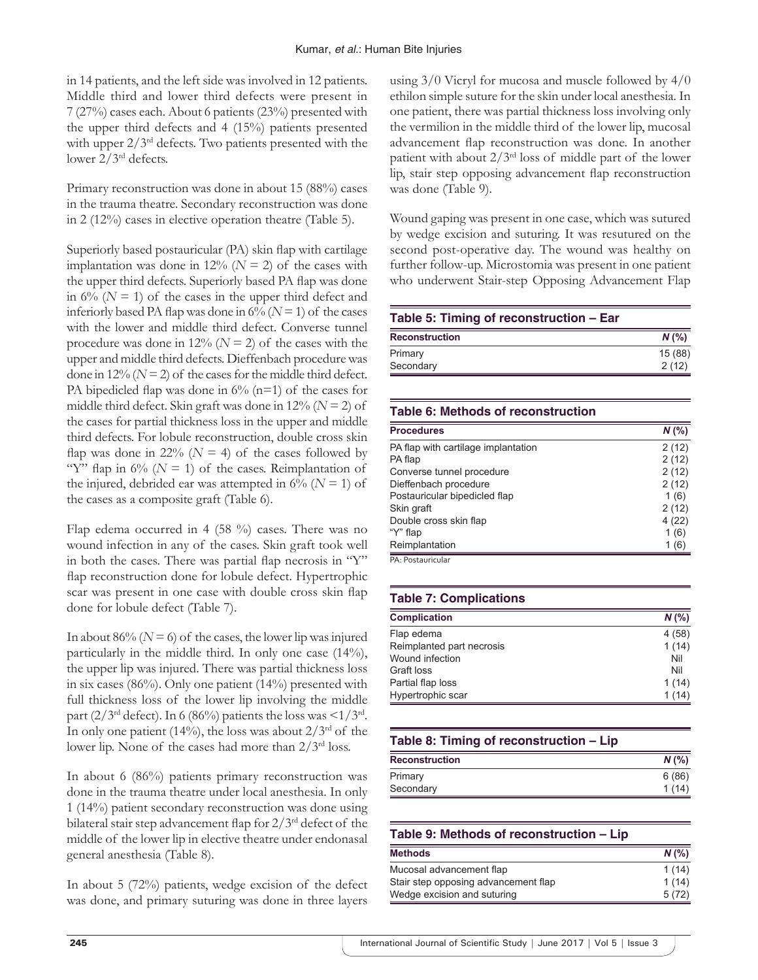in 14 patients, and the left side was involved in 12 patients. Middle third and lower third defects were present in 7 (27%) cases each. About 6 patients (23%) presented with the upper third defects and 4 (15%) patients presented with upper  $2/3^{rd}$  defects. Two patients presented with the lower 2/3rd defects.

Primary reconstruction was done in about 15 (88%) cases in the trauma theatre. Secondary reconstruction was done in 2 (12%) cases in elective operation theatre (Table 5).

Superiorly based postauricular (PA) skin flap with cartilage implantation was done in  $12\%$  ( $N = 2$ ) of the cases with the upper third defects. Superiorly based PA flap was done in  $6\%$  ( $N = 1$ ) of the cases in the upper third defect and inferiorly based PA flap was done in  $6\%$  ( $N=1$ ) of the cases with the lower and middle third defect. Converse tunnel procedure was done in  $12\%$  ( $N = 2$ ) of the cases with the upper and middle third defects. Dieffenbach procedure was done in 12% ( $N = 2$ ) of the cases for the middle third defect. PA bipedicled flap was done in  $6\%$  (n=1) of the cases for middle third defect. Skin graft was done in 12% (*N* = 2) of the cases for partial thickness loss in the upper and middle third defects. For lobule reconstruction, double cross skin flap was done in 22% ( $N = 4$ ) of the cases followed by "Y" flap in  $6\%$  ( $N = 1$ ) of the cases. Reimplantation of the injured, debrided ear was attempted in  $6\%$  ( $N = 1$ ) of the cases as a composite graft (Table 6).

Flap edema occurred in 4 (58 %) cases. There was no wound infection in any of the cases. Skin graft took well in both the cases. There was partial flap necrosis in "Y" flap reconstruction done for lobule defect. Hypertrophic scar was present in one case with double cross skin flap done for lobule defect (Table 7).

In about  $86\%$  ( $N = 6$ ) of the cases, the lower lip was injured particularly in the middle third. In only one case (14%), the upper lip was injured. There was partial thickness loss in six cases (86%). Only one patient (14%) presented with full thickness loss of the lower lip involving the middle part (2/3<sup>rd</sup> defect). In 6 (86%) patients the loss was  $\leq 1/3^{rd}$ . In only one patient (14%), the loss was about  $2/3^{rd}$  of the lower lip. None of the cases had more than  $2/3^{rd}$  loss.

In about 6 (86%) patients primary reconstruction was done in the trauma theatre under local anesthesia. In only 1 (14%) patient secondary reconstruction was done using bilateral stair step advancement flap for 2/3rd defect of the middle of the lower lip in elective theatre under endonasal general anesthesia (Table 8).

In about 5 (72%) patients, wedge excision of the defect was done, and primary suturing was done in three layers using 3/0 Vicryl for mucosa and muscle followed by 4/0 ethilon simple suture for the skin under local anesthesia. In one patient, there was partial thickness loss involving only the vermilion in the middle third of the lower lip, mucosal advancement flap reconstruction was done. In another patient with about  $2/3^{rd}$  loss of middle part of the lower lip, stair step opposing advancement flap reconstruction was done (Table 9).

Wound gaping was present in one case, which was sutured by wedge excision and suturing. It was resutured on the second post-operative day. The wound was healthy on further follow-up. Microstomia was present in one patient who underwent Stair-step Opposing Advancement Flap

| Table 5: Timing of reconstruction - Ear |        |
|-----------------------------------------|--------|
| <b>Reconstruction</b>                   | N(%    |
| Primary                                 | 15(88) |
| Secondary                               | 2(12)  |
|                                         |        |

# **Table 6: Methods of reconstruction**

| <b>Procedures</b>                   | $N$ (%) |
|-------------------------------------|---------|
| PA flap with cartilage implantation | 2(12)   |
| PA flap                             | 2(12)   |
| Converse tunnel procedure           | 2(12)   |
| Dieffenbach procedure               | 2(12)   |
| Postauricular bipedicled flap       | 1(6)    |
| Skin graft                          | 2(12)   |
| Double cross skin flap              | 4(22)   |
| "Y" flap                            | 1(6)    |
| Reimplantation                      | 1(6)    |

#### PA: Postauricular

# **Table 7: Complications**

| <b>Complication</b>       | $N$ (%) |
|---------------------------|---------|
| Flap edema                | 4(58)   |
| Reimplanted part necrosis | 1(14)   |
| Wound infection           | Nil     |
| Graft loss                | Nil     |
| Partial flap loss         | 1(14)   |
| Hypertrophic scar         | 1(14)   |

# **Table 8: Timing of reconstruction – Lip**

| <b>Reconstruction</b> | $N$ (%) |
|-----------------------|---------|
| Primary               | 6(86)   |
| Secondary             | 1(14)   |
|                       |         |

| Table 9: Methods of reconstruction - Lip |         |
|------------------------------------------|---------|
| <b>Methods</b>                           | $N$ (%) |
| Mucosal advancement flap                 | 1(14)   |
| Stair step opposing advancement flap     | 1(14)   |
| Wedge excision and suturing              | 5(72)   |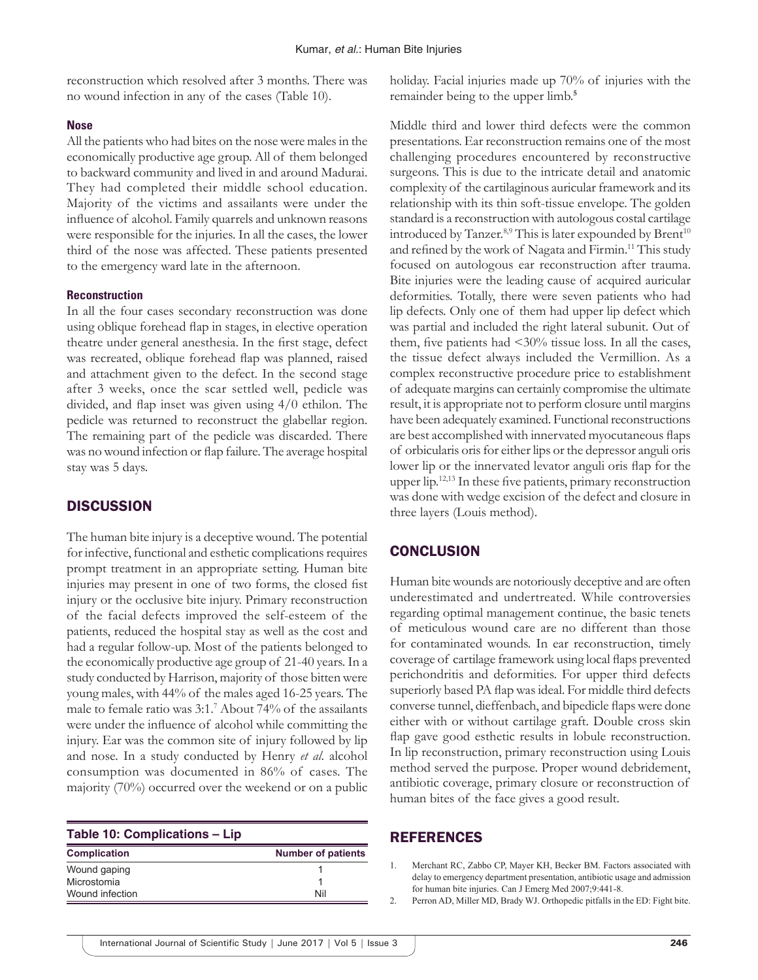reconstruction which resolved after 3 months. There was no wound infection in any of the cases (Table 10).

### **Nose**

All the patients who had bites on the nose were males in the economically productive age group. All of them belonged to backward community and lived in and around Madurai. They had completed their middle school education. Majority of the victims and assailants were under the influence of alcohol. Family quarrels and unknown reasons were responsible for the injuries. In all the cases, the lower third of the nose was affected. These patients presented to the emergency ward late in the afternoon.

## **Reconstruction**

In all the four cases secondary reconstruction was done using oblique forehead flap in stages, in elective operation theatre under general anesthesia. In the first stage, defect was recreated, oblique forehead flap was planned, raised and attachment given to the defect. In the second stage after 3 weeks, once the scar settled well, pedicle was divided, and flap inset was given using 4/0 ethilon. The pedicle was returned to reconstruct the glabellar region. The remaining part of the pedicle was discarded. There was no wound infection or flap failure. The average hospital stay was 5 days.

# **DISCUSSION**

The human bite injury is a deceptive wound. The potential for infective, functional and esthetic complications requires prompt treatment in an appropriate setting. Human bite injuries may present in one of two forms, the closed fist injury or the occlusive bite injury. Primary reconstruction of the facial defects improved the self-esteem of the patients, reduced the hospital stay as well as the cost and had a regular follow-up. Most of the patients belonged to the economically productive age group of 21-40 years. In a study conducted by Harrison, majority of those bitten were young males, with 44% of the males aged 16-25 years. The male to female ratio was 3:1.7 About 74% of the assailants were under the influence of alcohol while committing the injury. Ear was the common site of injury followed by lip and nose. In a study conducted by Henry *et al*. alcohol consumption was documented in 86% of cases. The majority (70%) occurred over the weekend or on a public

| <b>Table 10: Complications - Lip</b> |                           |
|--------------------------------------|---------------------------|
| <b>Complication</b>                  | <b>Number of patients</b> |
| Wound gaping                         |                           |
| Microstomia                          |                           |
| Wound infection                      | Nil                       |

holiday. Facial injuries made up 70% of injuries with the remainder being to the upper limb.**<sup>5</sup>**

Middle third and lower third defects were the common presentations. Ear reconstruction remains one of the most challenging procedures encountered by reconstructive surgeons. This is due to the intricate detail and anatomic complexity of the cartilaginous auricular framework and its relationship with its thin soft-tissue envelope. The golden standard is a reconstruction with autologous costal cartilage introduced by Tanzer. $8,9$  This is later expounded by Brent<sup>10</sup> and refined by the work of Nagata and Firmin.11 This study focused on autologous ear reconstruction after trauma. Bite injuries were the leading cause of acquired auricular deformities. Totally, there were seven patients who had lip defects. Only one of them had upper lip defect which was partial and included the right lateral subunit. Out of them, five patients had  $\langle 30\%$  tissue loss. In all the cases, the tissue defect always included the Vermillion. As a complex reconstructive procedure price to establishment of adequate margins can certainly compromise the ultimate result, it is appropriate not to perform closure until margins have been adequately examined. Functional reconstructions are best accomplished with innervated myocutaneous flaps of orbicularis oris for either lips or the depressor anguli oris lower lip or the innervated levator anguli oris flap for the upper lip.12,13 In these five patients, primary reconstruction was done with wedge excision of the defect and closure in three layers (Louis method).

# **CONCLUSION**

Human bite wounds are notoriously deceptive and are often underestimated and undertreated. While controversies regarding optimal management continue, the basic tenets of meticulous wound care are no different than those for contaminated wounds. In ear reconstruction, timely coverage of cartilage framework using local flaps prevented perichondritis and deformities. For upper third defects superiorly based PA flap was ideal. For middle third defects converse tunnel, dieffenbach, and bipedicle flaps were done either with or without cartilage graft. Double cross skin flap gave good esthetic results in lobule reconstruction. In lip reconstruction, primary reconstruction using Louis method served the purpose. Proper wound debridement, antibiotic coverage, primary closure or reconstruction of human bites of the face gives a good result.

## REFERENCES

1. Merchant RC, Zabbo CP, Mayer KH, Becker BM. Factors associated with delay to emergency department presentation, antibiotic usage and admission for human bite injuries. Can J Emerg Med 2007;9:441-8.

2. Perron AD, Miller MD, Brady WJ. Orthopedic pitfalls in the ED: Fight bite.